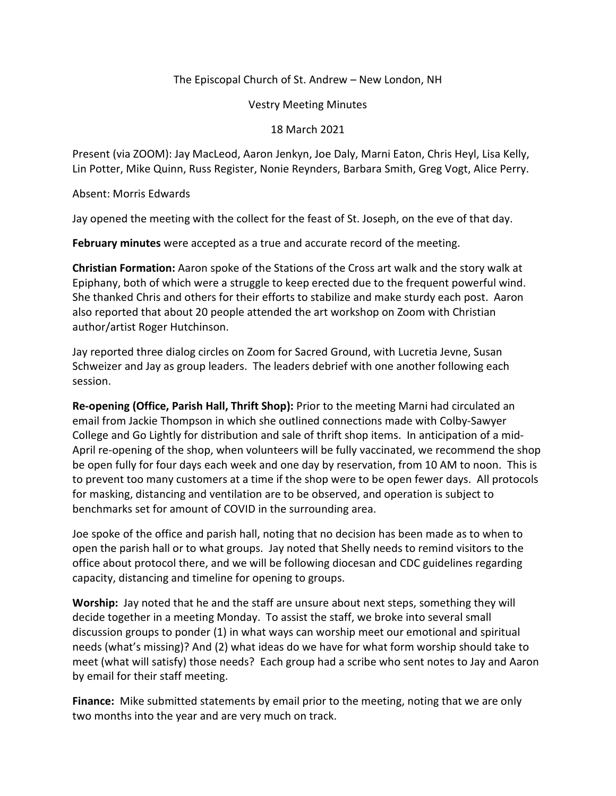## The Episcopal Church of St. Andrew – New London, NH

Vestry Meeting Minutes

## 18 March 2021

Present (via ZOOM): Jay MacLeod, Aaron Jenkyn, Joe Daly, Marni Eaton, Chris Heyl, Lisa Kelly, Lin Potter, Mike Quinn, Russ Register, Nonie Reynders, Barbara Smith, Greg Vogt, Alice Perry.

Absent: Morris Edwards

Jay opened the meeting with the collect for the feast of St. Joseph, on the eve of that day.

**February minutes** were accepted as a true and accurate record of the meeting.

**Christian Formation:** Aaron spoke of the Stations of the Cross art walk and the story walk at Epiphany, both of which were a struggle to keep erected due to the frequent powerful wind. She thanked Chris and others for their efforts to stabilize and make sturdy each post. Aaron also reported that about 20 people attended the art workshop on Zoom with Christian author/artist Roger Hutchinson.

Jay reported three dialog circles on Zoom for Sacred Ground, with Lucretia Jevne, Susan Schweizer and Jay as group leaders. The leaders debrief with one another following each session.

**Re-opening (Office, Parish Hall, Thrift Shop):** Prior to the meeting Marni had circulated an email from Jackie Thompson in which she outlined connections made with Colby-Sawyer College and Go Lightly for distribution and sale of thrift shop items. In anticipation of a mid-April re-opening of the shop, when volunteers will be fully vaccinated, we recommend the shop be open fully for four days each week and one day by reservation, from 10 AM to noon. This is to prevent too many customers at a time if the shop were to be open fewer days. All protocols for masking, distancing and ventilation are to be observed, and operation is subject to benchmarks set for amount of COVID in the surrounding area.

Joe spoke of the office and parish hall, noting that no decision has been made as to when to open the parish hall or to what groups. Jay noted that Shelly needs to remind visitors to the office about protocol there, and we will be following diocesan and CDC guidelines regarding capacity, distancing and timeline for opening to groups.

**Worship:** Jay noted that he and the staff are unsure about next steps, something they will decide together in a meeting Monday. To assist the staff, we broke into several small discussion groups to ponder (1) in what ways can worship meet our emotional and spiritual needs (what's missing)? And (2) what ideas do we have for what form worship should take to meet (what will satisfy) those needs? Each group had a scribe who sent notes to Jay and Aaron by email for their staff meeting.

**Finance:** Mike submitted statements by email prior to the meeting, noting that we are only two months into the year and are very much on track.